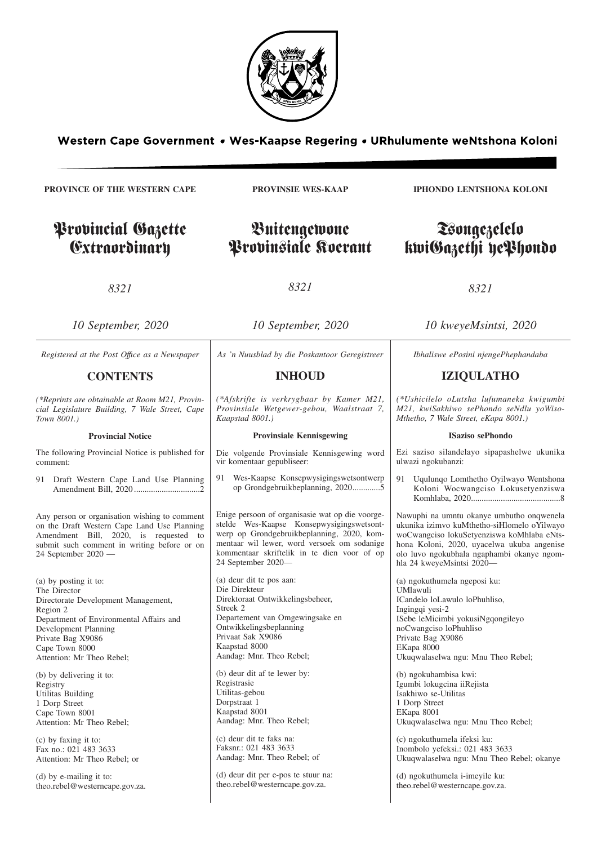

Western Cape Government . Wes-Kaapse Regering . URhulumente weNtshona Koloni

**PROVINCE OF THE WESTERN CAPE** Provincial Gazette **Extraordinary** *8321 10 September, 2020* **PROVINSIE WES-KAAP** Buitengewone Provinsiale Koerant *8321 10 September, 2020* **IPHONDO LENTSHONA KOLONI Tsongezelelo** kwiGazethi yePhondo *8321 10 kweyeMsintsi, 2020 Registered at the Post Offıce as a Newspaper* **CONTENTS** *(\*Reprints are obtainable at Room M21, Provincial Legislature Building, 7 Wale Street, Cape Town 8001.)* **Provincial Notice** The following Provincial Notice is published for comment: 91 Draft Western Cape Land Use Planning Amendment Bill, 2020 ...............................2 Any person or organisation wishing to comment on the Draft Western Cape Land Use Planning Amendment Bill, 2020, is requested to submit such comment in writing before or on 24 September 2020 — (a) by posting it to: The Director Directorate Development Management, Region 2 Department of Environmental Affairs and Development Planning Private Bag X9086 Cape Town 8000 Attention: Mr Theo Rebel; (b) by delivering it to: Registry Utilitas Building 1 Dorp Street Cape Town 8001 Attention: Mr Theo Rebel; (c) by faxing it to: Fax no.: 021 483 3633 Attention: Mr Theo Rebel; or (d) by e-mailing it to: theo.rebel@westerncape.gov.za. *As 'n Nuusblad by die Poskantoor Geregistreer* **INHOUD** *(\*Afskrifte is verkrygbaar by Kamer M21, Provinsiale Wetgewer-gebou, Waalstraat 7, Kaapstad 8001.)* **Provinsiale Kennisgewing** Die volgende Provinsiale Kennisgewing word vir komentaar gepubliseer: 91 Wes-Kaapse Konsepwysigingswetsontwerp op Grondgebruikbeplanning, 2020.............5 Enige persoon of organisasie wat op die voorgestelde Wes-Kaapse Konsepwysigingswetsontwerp op Grondgebruikbeplanning, 2020, kommentaar wil lewer, word versoek om sodanige kommentaar skriftelik in te dien voor of op 24 September 2020— (a) deur dit te pos aan: Die Direkteur Direktoraat Ontwikkelingsbeheer, Streek 2 Departement van Omgewingsake en Ontwikkelingsbeplanning Privaat Sak X9086 Kaapstad 8000 Aandag: Mnr. Theo Rebel; (b) deur dit af te lewer by: Registrasie Utilitas-gebou Dorpstraat 1 Kaapstad 8001 Aandag: Mnr. Theo Rebel; (c) deur dit te faks na: Faksnr.: 021 483 3633 Aandag: Mnr. Theo Rebel; of (d) deur dit per e-pos te stuur na: theo.rebel@westerncape.gov.za. *Ibhaliswe ePosini njengePhephandaba* **IZIQULATHO** *(\*Ushicilelo oLutsha lufumaneka kwigumbi M21, kwiSakhiwo sePhondo seNdlu yoWiso-Mthetho, 7 Wale Street, eKapa 8001.)* **ISaziso sePhondo** Ezi saziso silandelayo sipapashelwe ukunika ulwazi ngokubanzi: 91 Uqulunqo Lomthetho Oyilwayo Wentshona Koloni Wocwangciso Lokusetyenziswa Komhlaba, 2020..........................................8 Nawuphi na umntu okanye umbutho onqwenela ukunika izimvo kuMthetho-siHlomelo oYilwayo woCwangciso lokuSetyenziswa koMhlaba eNtshona Koloni, 2020, uyacelwa ukuba angenise olo luvo ngokubhala ngaphambi okanye ngomhla 24 kweyeMsintsi 2020— (a) ngokuthumela ngeposi ku: UMlawuli ICandelo loLawulo loPhuhliso, Ingingqi yesi-2 ISebe leMicimbi yokusiNgqongileyo noCwangciso loPhuhliso Private Bag X9086 EKapa 8000 Ukuqwalaselwa ngu: Mnu Theo Rebel; (b) ngokuhambisa kwi: Igumbi lokugcina iiRejista Isakhiwo se-Utilitas 1 Dorp Street EKapa 8001 Ukuqwalaselwa ngu: Mnu Theo Rebel; (c) ngokuthumela ifeksi ku: Inombolo yefeksi.: 021 483 3633 Ukuqwalaselwa ngu: Mnu Theo Rebel; okanye (d) ngokuthumela i-imeyile ku: theo.rebel@westerncape.gov.za.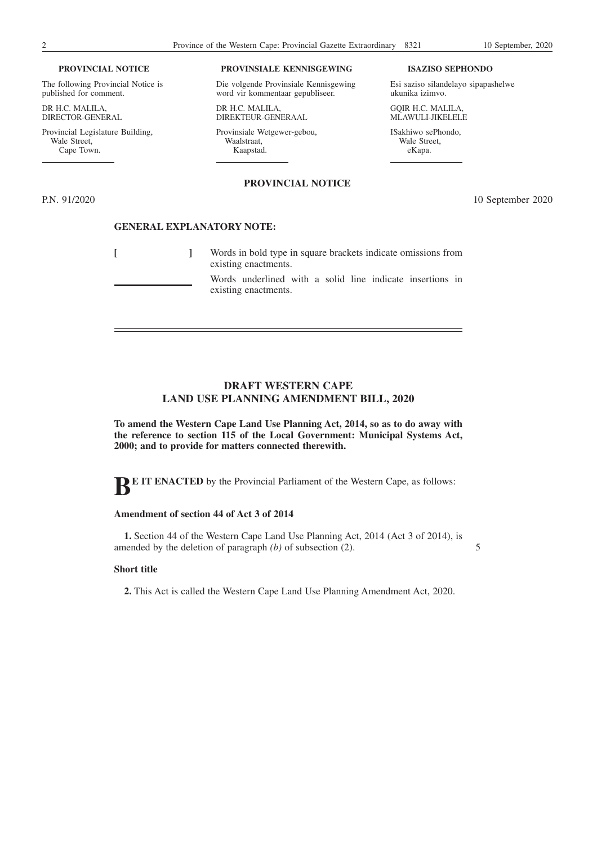#### **PROVINCIAL NOTICE**

The following Provincial Notice is published for comment.

DR H.C. MALILA, DIRECTOR-GENERAL

Provincial Legislature Building, Wale Street. Cape Town.

#### **PROVINSIALE KENNISGEWING**

Die volgende Provinsiale Kennisgewing word vir kommentaar gepubliseer.

DR H.C. MALILA, DIREKTEUR-GENERAAL

Provinsiale Wetgewer-gebou, Waalstraat, Kaapstad.

#### **PROVINCIAL NOTICE**

#### **ISAZISO SEPHONDO**

Esi saziso silandelayo sipapashelwe ukunika izimvo.

GQIR H.C. MALILA, MLAWULI-JIKELELE

ISakhiwo sePhondo, Wale Street, eKapa.

P.N. 91/2020 10 September 2020

5

# **GENERAL EXPLANATORY NOTE:**

|  | Words in bold type in square brackets indicate omissions from<br>existing enactments. |  |  |  |  |  |  |  |  |
|--|---------------------------------------------------------------------------------------|--|--|--|--|--|--|--|--|
|  | Words underlined with a solid line indicate insertions in<br>existing enactments.     |  |  |  |  |  |  |  |  |

## **DRAFT WESTERN CAPE LAND USE PLANNING AMENDMENT BILL, 2020**

**To amend the Western Cape Land Use Planning Act, 2014, so as to do away with the reference to section 115 of the Local Government: Municipal Systems Act, 2000; and to provide for matters connected therewith.**

**BE IT ENACTED** by the Provincial Parliament of the Western Cape, as follows:

### **Amendment of section 44 of Act 3 of 2014**

**1.** Section 44 of the Western Cape Land Use Planning Act, 2014 (Act 3 of 2014), is amended by the deletion of paragraph *(b)* of subsection (2).

### **Short title**

**2.** This Act is called the Western Cape Land Use Planning Amendment Act, 2020.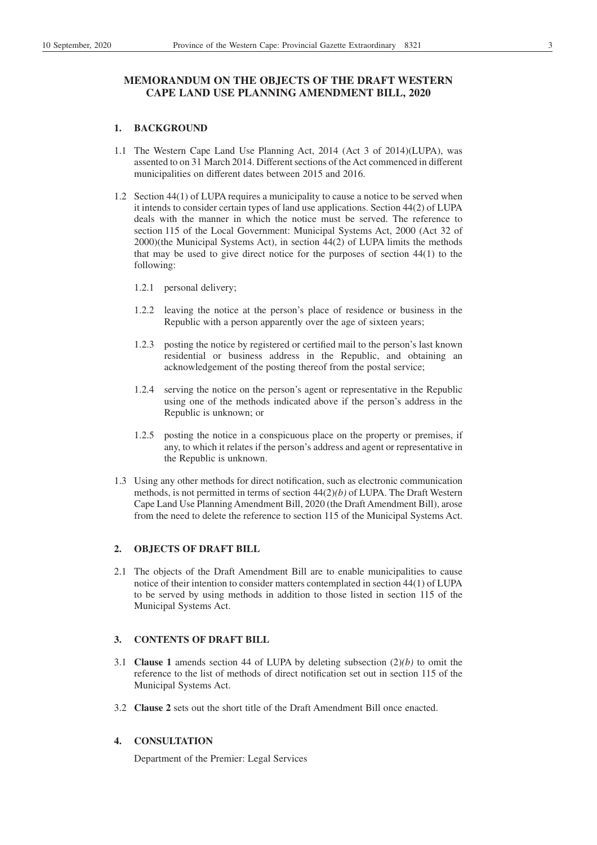## **MEMORANDUM ON THE OBJECTS OF THE DRAFT WESTERN CAPE LAND USE PLANNING AMENDMENT BILL, 2020**

# **1. BACKGROUND**

- 1.1 The Western Cape Land Use Planning Act, 2014 (Act 3 of 2014)(LUPA), was assented to on 31 March 2014. Different sections of the Act commenced in different municipalities on different dates between 2015 and 2016.
- 1.2 Section 44(1) of LUPA requires a municipality to cause a notice to be served when it intends to consider certain types of land use applications. Section 44(2) of LUPA deals with the manner in which the notice must be served. The reference to section 115 of the Local Government: Municipal Systems Act, 2000 (Act 32 of 2000)(the Municipal Systems Act), in section 44(2) of LUPA limits the methods that may be used to give direct notice for the purposes of section 44(1) to the following:
	- 1.2.1 personal delivery;
	- 1.2.2 leaving the notice at the person's place of residence or business in the Republic with a person apparently over the age of sixteen years;
	- 1.2.3 posting the notice by registered or certified mail to the person's last known residential or business address in the Republic, and obtaining an acknowledgement of the posting thereof from the postal service;
	- 1.2.4 serving the notice on the person's agent or representative in the Republic using one of the methods indicated above if the person's address in the Republic is unknown; or
	- 1.2.5 posting the notice in a conspicuous place on the property or premises, if any, to which it relates if the person's address and agent or representative in the Republic is unknown.
- 1.3 Using any other methods for direct notification, such as electronic communication methods, is not permitted in terms of section 44(2)*(b)* of LUPA. The Draft Western Cape Land Use Planning Amendment Bill, 2020 (the Draft Amendment Bill), arose from the need to delete the reference to section 115 of the Municipal Systems Act.

#### **2. OBJECTS OF DRAFT BILL**

2.1 The objects of the Draft Amendment Bill are to enable municipalities to cause notice of their intention to consider matters contemplated in section 44(1) of LUPA to be served by using methods in addition to those listed in section 115 of the Municipal Systems Act.

#### **3. CONTENTS OF DRAFT BILL**

- 3.1 **Clause 1** amends section 44 of LUPA by deleting subsection (2)*(b)* to omit the reference to the list of methods of direct notification set out in section 115 of the Municipal Systems Act.
- 3.2 **Clause 2** sets out the short title of the Draft Amendment Bill once enacted.

## **4. CONSULTATION**

Department of the Premier: Legal Services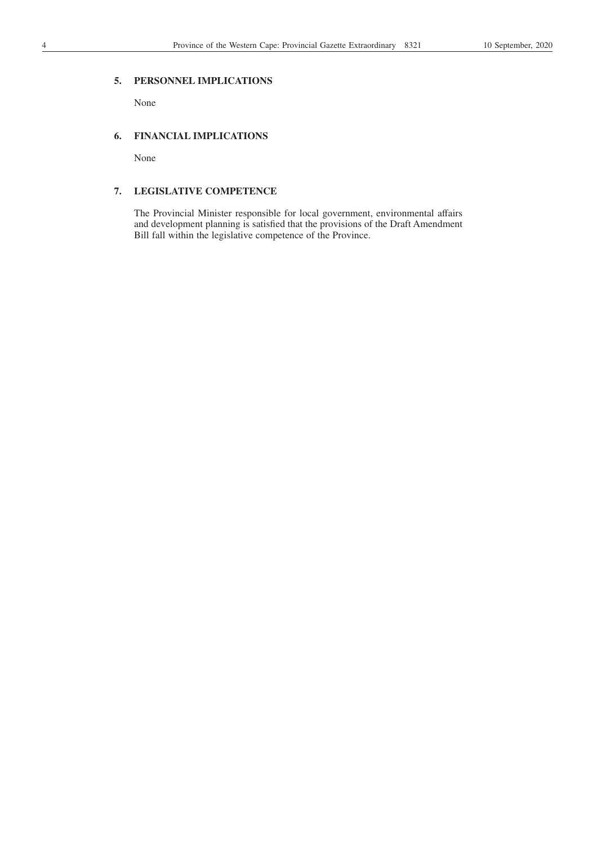## **5. PERSONNEL IMPLICATIONS**

None

## **6. FINANCIAL IMPLICATIONS**

None

## **7. LEGISLATIVE COMPETENCE**

The Provincial Minister responsible for local government, environmental affairs and development planning is satisfied that the provisions of the Draft Amendment Bill fall within the legislative competence of the Province.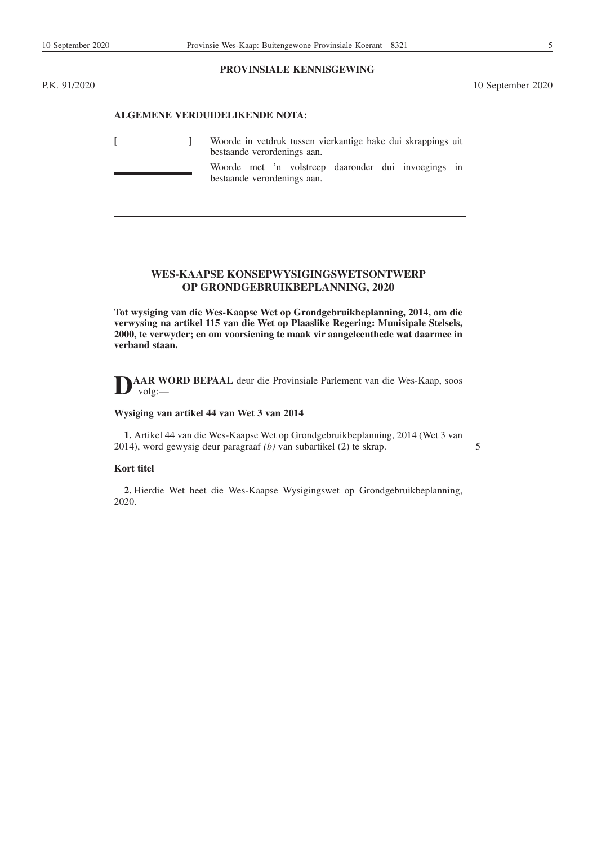#### **PROVINSIALE KENNISGEWING**

P.K. 91/2020 10 September 2020

5

## **ALGEMENE VERDUIDELIKENDE NOTA:**

|  | Woorde in vetdruk tussen vierkantige hake dui skrappings uit<br>bestaande verordenings aan. |  |  |                             |  |  |                                                     |  |  |
|--|---------------------------------------------------------------------------------------------|--|--|-----------------------------|--|--|-----------------------------------------------------|--|--|
|  |                                                                                             |  |  | bestaande verordenings aan. |  |  | Woorde met 'n volstreep daaronder dui invoegings in |  |  |

# **WES-KAAPSE KONSEPWYSIGINGSWETSONTWERP OP GRONDGEBRUIKBEPLANNING, 2020**

**Tot wysiging van die Wes-Kaapse Wet op Grondgebruikbeplanning, 2014, om die verwysing na artikel 115 van die Wet op Plaaslike Regering: Munisipale Stelsels, 2000, te verwyder; en om voorsiening te maak vir aangeleenthede wat daarmee in verband staan.**



### **Wysiging van artikel 44 van Wet 3 van 2014**

**1.** Artikel 44 van die Wes-Kaapse Wet op Grondgebruikbeplanning, 2014 (Wet 3 van 2014), word gewysig deur paragraaf *(b)* van subartikel (2) te skrap.

#### **Kort titel**

**2.** Hierdie Wet heet die Wes-Kaapse Wysigingswet op Grondgebruikbeplanning, 2020.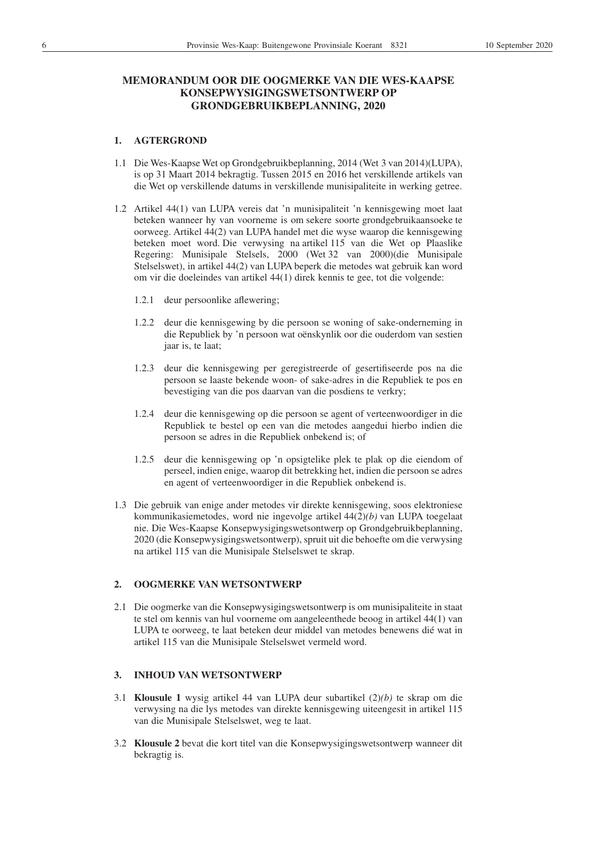## **MEMORANDUM OOR DIE OOGMERKE VAN DIE WES-KAAPSE KONSEPWYSIGINGSWETSONTWERP OP GRONDGEBRUIKBEPLANNING, 2020**

## **1. AGTERGROND**

- 1.1 Die Wes-Kaapse Wet op Grondgebruikbeplanning, 2014 (Wet 3 van 2014)(LUPA), is op 31 Maart 2014 bekragtig. Tussen 2015 en 2016 het verskillende artikels van die Wet op verskillende datums in verskillende munisipaliteite in werking getree.
- 1.2 Artikel 44(1) van LUPA vereis dat 'n munisipaliteit 'n kennisgewing moet laat beteken wanneer hy van voorneme is om sekere soorte grondgebruikaansoeke te oorweeg. Artikel 44(2) van LUPA handel met die wyse waarop die kennisgewing beteken moet word. Die verwysing na artikel 115 van die Wet op Plaaslike Regering: Munisipale Stelsels, 2000 (Wet 32 van 2000)(die Munisipale Stelselswet), in artikel 44(2) van LUPA beperk die metodes wat gebruik kan word om vir die doeleindes van artikel 44(1) direk kennis te gee, tot die volgende:
	- 1.2.1 deur persoonlike aflewering;
	- 1.2.2 deur die kennisgewing by die persoon se woning of sake-onderneming in die Republiek by 'n persoon wat oënskynlik oor die ouderdom van sestien jaar is, te laat;
	- 1.2.3 deur die kennisgewing per geregistreerde of gesertifiseerde pos na die persoon se laaste bekende woon- of sake-adres in die Republiek te pos en bevestiging van die pos daarvan van die posdiens te verkry;
	- 1.2.4 deur die kennisgewing op die persoon se agent of verteenwoordiger in die Republiek te bestel op een van die metodes aangedui hierbo indien die persoon se adres in die Republiek onbekend is; of
	- 1.2.5 deur die kennisgewing op 'n opsigtelike plek te plak op die eiendom of perseel, indien enige, waarop dit betrekking het, indien die persoon se adres en agent of verteenwoordiger in die Republiek onbekend is.
- 1.3 Die gebruik van enige ander metodes vir direkte kennisgewing, soos elektroniese kommunikasiemetodes, word nie ingevolge artikel 44(2)*(b)* van LUPA toegelaat nie. Die Wes-Kaapse Konsepwysigingswetsontwerp op Grondgebruikbeplanning, 2020 (die Konsepwysigingswetsontwerp), spruit uit die behoefte om die verwysing na artikel 115 van die Munisipale Stelselswet te skrap.

## **2. OOGMERKE VAN WETSONTWERP**

2.1 Die oogmerke van die Konsepwysigingswetsontwerp is om munisipaliteite in staat te stel om kennis van hul voorneme om aangeleenthede beoog in artikel 44(1) van LUPA te oorweeg, te laat beteken deur middel van metodes benewens dié wat in artikel 115 van die Munisipale Stelselswet vermeld word.

## **3. INHOUD VAN WETSONTWERP**

- 3.1 **Klousule 1** wysig artikel 44 van LUPA deur subartikel (2)*(b)* te skrap om die verwysing na die lys metodes van direkte kennisgewing uiteengesit in artikel 115 van die Munisipale Stelselswet, weg te laat.
- 3.2 **Klousule 2** bevat die kort titel van die Konsepwysigingswetsontwerp wanneer dit bekragtig is.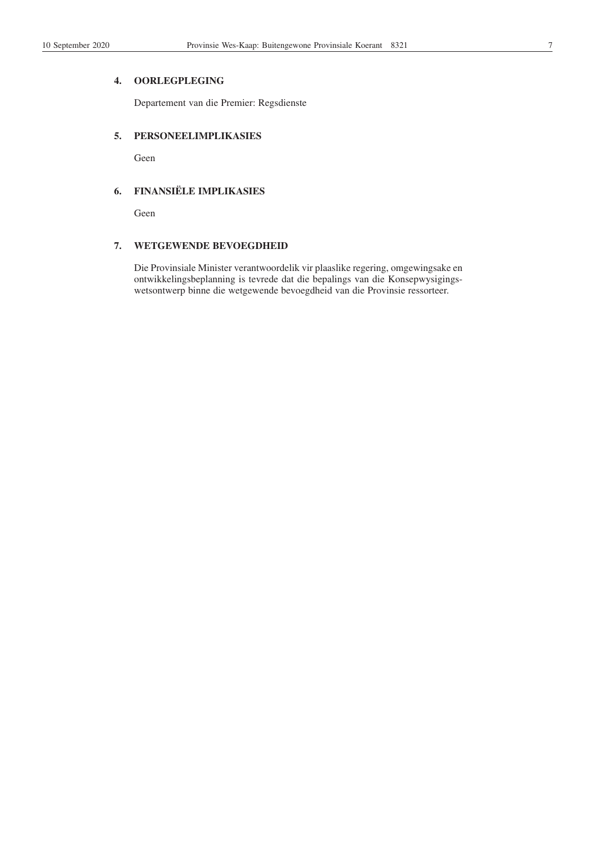### **4. OORLEGPLEGING**

Departement van die Premier: Regsdienste

#### **5. PERSONEELIMPLIKASIES**

Geen

# **6. FINANSIËLE IMPLIKASIES**

Geen

## **7. WETGEWENDE BEVOEGDHEID**

Die Provinsiale Minister verantwoordelik vir plaaslike regering, omgewingsake en ontwikkelingsbeplanning is tevrede dat die bepalings van die Konsepwysigingswetsontwerp binne die wetgewende bevoegdheid van die Provinsie ressorteer.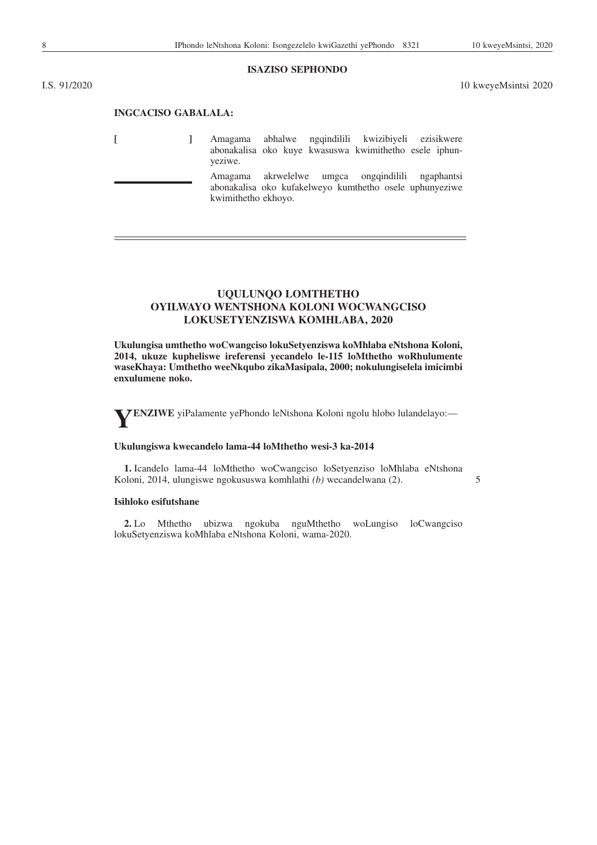#### **ISAZISO SEPHONDO**

## $1.5.91/2020$  10 kweyeMsintsi 2020

5

## **INGCACISO GABALALA:**

**[ ]** Amagama abhalwe ngqindilili kwizibiyeli ezisikwere abonakalisa oko kuye kwasuswa kwimithetho esele iphunyeziwe.

Amagama akrwelelwe umgca ongqindilili ngaphantsi abonakalisa oko kufakelweyo kumthetho osele uphunyeziwe kwimithetho ekhoyo.

# **UQULUNQO LOMTHETHO OYILWAYO WENTSHONA KOLONI WOCWANGCISO LOKUSETYENZISWA KOMHLABA, 2020**

**Ukulungisa umthetho woCwangciso lokuSetyenziswa koMhlaba eNtshona Koloni, 2014, ukuze kupheliswe ireferensi yecandelo le-115 loMthetho woRhulumente waseKhaya: Umthetho weeNkqubo zikaMasipala, 2000; nokulungiselela imicimbi enxulumene noko.**

**YENZIWE** yiPalamente yePhondo leNtshona Koloni ngolu hlobo lulandelayo:—

#### **Ukulungiswa kwecandelo lama-44 loMthetho wesi-3 ka-2014**

**1.** Icandelo lama-44 loMthetho woCwangciso loSetyenziso loMhlaba eNtshona Koloni, 2014, ulungiswe ngokususwa komhlathi *(b)* wecandelwana (2).

#### **Isihloko esifutshane**

**2.** Lo Mthetho ubizwa ngokuba nguMthetho woLungiso loCwangciso lokuSetyenziswa koMhlaba eNtshona Koloni, wama-2020.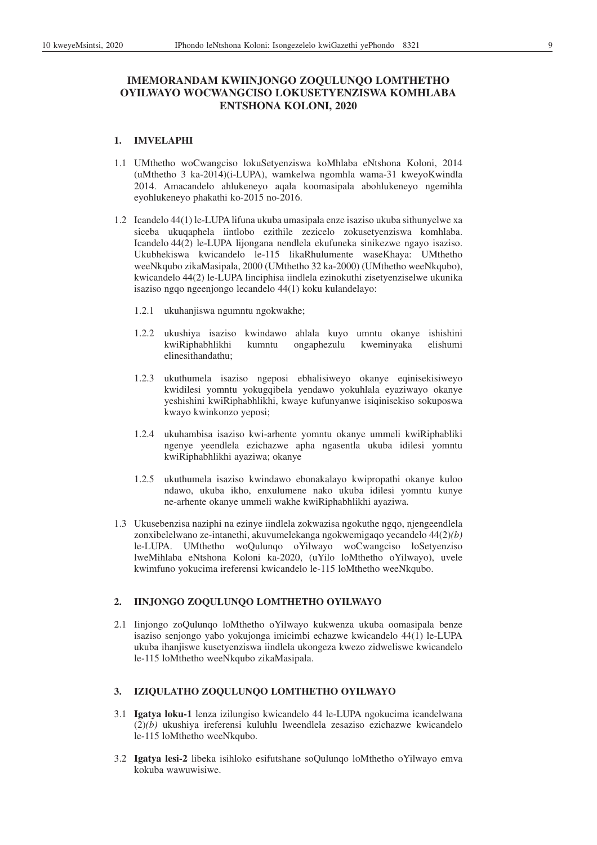## **IMEMORANDAM KWIINJONGO ZOQULUNQO LOMTHETHO OYILWAYO WOCWANGCISO LOKUSETYENZISWA KOMHLABA ENTSHONA KOLONI, 2020**

#### **1. IMVELAPHI**

- 1.1 UMthetho woCwangciso lokuSetyenziswa koMhlaba eNtshona Koloni, 2014 (uMthetho 3 ka-2014)(i-LUPA), wamkelwa ngomhla wama-31 kweyoKwindla 2014. Amacandelo ahlukeneyo aqala koomasipala abohlukeneyo ngemihla eyohlukeneyo phakathi ko-2015 no-2016.
- 1.2 Icandelo 44(1) le-LUPA lifuna ukuba umasipala enze isaziso ukuba sithunyelwe xa siceba ukuqaphela iintlobo ezithile zezicelo zokusetyenziswa komhlaba. Icandelo 44(2) le-LUPA lijongana nendlela ekufuneka sinikezwe ngayo isaziso. Ukubhekiswa kwicandelo le-115 likaRhulumente waseKhaya: UMthetho weeNkqubo zikaMasipala, 2000 (UMthetho 32 ka-2000) (UMthetho weeNkqubo), kwicandelo 44(2) le-LUPA linciphisa iindlela ezinokuthi zisetyenziselwe ukunika isaziso ngqo ngeenjongo lecandelo 44(1) koku kulandelayo:
	- 1.2.1 ukuhanjiswa ngumntu ngokwakhe;
	- 1.2.2 ukushiya isaziso kwindawo ahlala kuyo umntu okanye ishishini kwiRiphabhlikhi kumntu ongaphezulu kweminyaka elishumi elinesithandathu;
	- 1.2.3 ukuthumela isaziso ngeposi ebhalisiweyo okanye eqinisekisiweyo kwidilesi yomntu yokugqibela yendawo yokuhlala eyaziwayo okanye yeshishini kwiRiphabhlikhi, kwaye kufunyanwe isiqinisekiso sokuposwa kwayo kwinkonzo yeposi;
	- 1.2.4 ukuhambisa isaziso kwi-arhente yomntu okanye ummeli kwiRiphabliki ngenye yeendlela ezichazwe apha ngasentla ukuba idilesi yomntu kwiRiphabhlikhi ayaziwa; okanye
	- 1.2.5 ukuthumela isaziso kwindawo ebonakalayo kwipropathi okanye kuloo ndawo, ukuba ikho, enxulumene nako ukuba idilesi yomntu kunye ne-arhente okanye ummeli wakhe kwiRiphabhlikhi ayaziwa.
- 1.3 Ukusebenzisa naziphi na ezinye iindlela zokwazisa ngokuthe ngqo, njengeendlela zonxibelelwano ze-intanethi, akuvumelekanga ngokwemigaqo yecandelo 44(2)*(b)* le-LUPA. UMthetho woQulunqo oYilwayo woCwangciso loSetyenziso lweMihlaba eNtshona Koloni ka-2020, (uYilo loMthetho oYilwayo), uvele kwimfuno yokucima ireferensi kwicandelo le-115 loMthetho weeNkqubo.

#### **2. IINJONGO ZOQULUNQO LOMTHETHO OYILWAYO**

2.1 Iinjongo zoQulunqo loMthetho oYilwayo kukwenza ukuba oomasipala benze isaziso senjongo yabo yokujonga imicimbi echazwe kwicandelo 44(1) le-LUPA ukuba ihanjiswe kusetyenziswa iindlela ukongeza kwezo zidweliswe kwicandelo le-115 loMthetho weeNkqubo zikaMasipala.

## **3. IZIQULATHO ZOQULUNQO LOMTHETHO OYILWAYO**

- 3.1 **Igatya loku-1** lenza izilungiso kwicandelo 44 le-LUPA ngokucima icandelwana (2)*(b)* ukushiya ireferensi kuluhlu lweendlela zesaziso ezichazwe kwicandelo le-115 loMthetho weeNkqubo.
- 3.2 **Igatya lesi-2** libeka isihloko esifutshane soQulunqo loMthetho oYilwayo emva kokuba wawuwisiwe.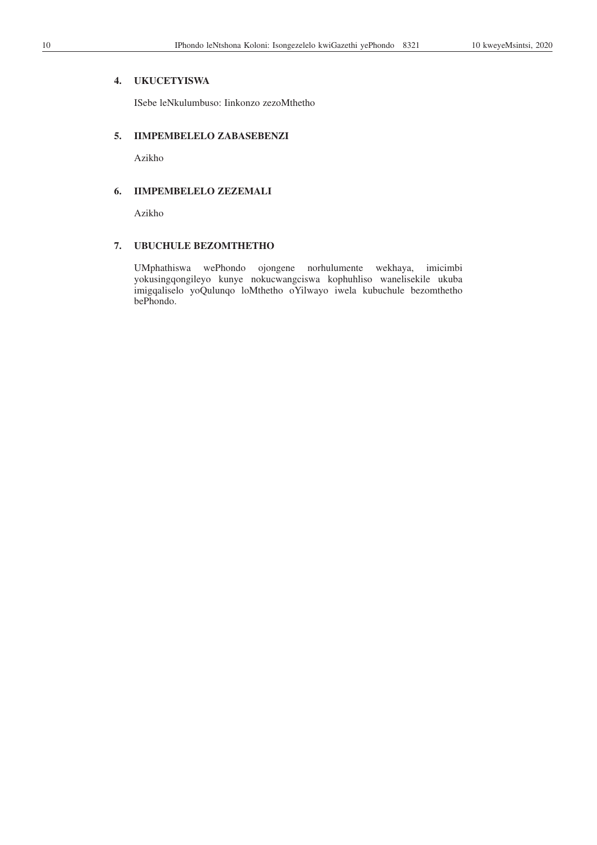### **4. UKUCETYISWA**

ISebe leNkulumbuso: Iinkonzo zezoMthetho

## **5. IIMPEMBELELO ZABASEBENZI**

Azikho

## **6. IIMPEMBELELO ZEZEMALI**

Azikho

## **7. UBUCHULE BEZOMTHETHO**

UMphathiswa wePhondo ojongene norhulumente wekhaya, imicimbi yokusingqongileyo kunye nokucwangciswa kophuhliso wanelisekile ukuba imigqaliselo yoQulunqo loMthetho oYilwayo iwela kubuchule bezomthetho bePhondo.